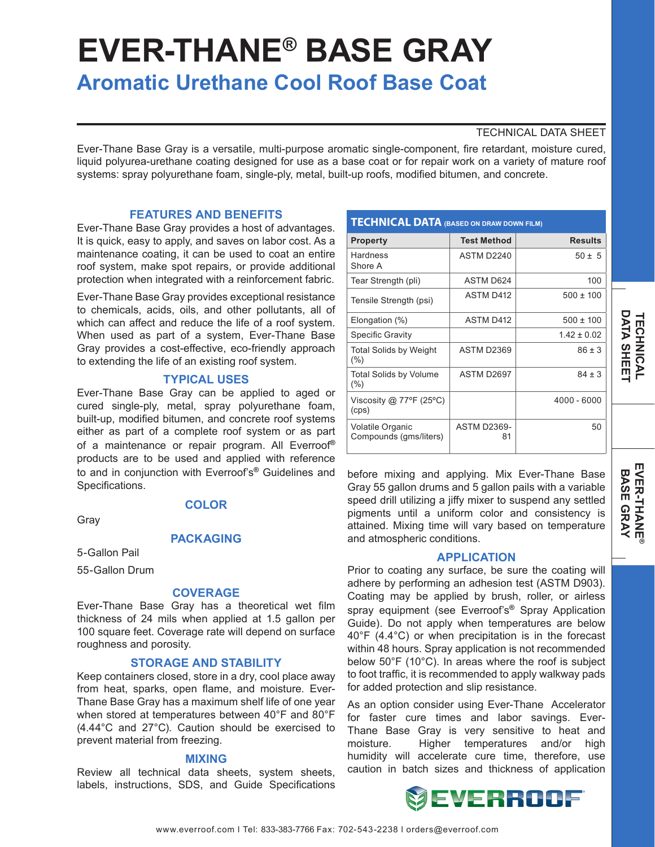# **EVER-THANE® BASE GRAY**

# **Aromatic Urethane Cool Roof Base Coat**

# TECHNICAL DATA SHEET

Ever-Thane Base Gray is a versatile, multi-purpose aromatic single-component, fire retardant, moisture cured, liquid polyurea-urethane coating designed for use as a base coat or for repair work on a variety of mature roof systems: spray polyurethane foam, single-ply, metal, built-up roofs, modified bitumen, and concrete.

## **FEATURES AND BENEFITS**

Ever-Thane Base Gray provides a host of advantages. It is quick, easy to apply, and saves on labor cost. As a maintenance coating, it can be used to coat an entire roof system, make spot repairs, or provide additional protection when integrated with a reinforcement fabric.

Ever-Thane Base Gray provides exceptional resistance to chemicals, acids, oils, and other pollutants, all of which can affect and reduce the life of a roof system. When used as part of a system, Ever-Thane Base Gray provides a cost-effective, eco-friendly approach to extending the life of an existing roof system.

## **TYPICAL USES**

Ever-Thane Base Gray can be applied to aged or cured single-ply, metal, spray polyurethane foam, built-up, modified bitumen, and concrete roof systems either as part of a complete roof system or as part of a maintenance or repair program. All Everroof**®** products are to be used and applied with reference to and in conjunction with Everroof's**®** Guidelines and Specifications.

Gray

# **COLOR**

**PACKAGING**

5-Gallon Pail 55-Gallon Drum

# **COVERAGE**

Ever-Thane Base Gray has a theoretical wet film thickness of 24 mils when applied at 1.5 gallon per 100 square feet. Coverage rate will depend on surface roughness and porosity.

#### **STORAGE AND STABILITY**

Keep containers closed, store in a dry, cool place away from heat, sparks, open flame, and moisture. Ever-Thane Base Gray has a maximum shelf life of one year when stored at temperatures between 40°F and 80°F (4.44°C and 27°C). Caution should be exercised to prevent material from freezing.

#### **MIXING**

Review all technical data sheets, system sheets, labels, instructions, SDS, and Guide Specifications

| <b>TECHNICAL DATA (BASED ON DRAW DOWN FILM)</b> |                          |                 |
|-------------------------------------------------|--------------------------|-----------------|
| <b>Property</b>                                 | <b>Test Method</b>       | <b>Results</b>  |
| Hardness<br>Shore A                             | ASTM D2240               | $50 \pm 5$      |
| Tear Strength (pli)                             | ASTM D624                | 100             |
| Tensile Strength (psi)                          | <b>ASTM D412</b>         | $500 \pm 100$   |
| Elongation (%)                                  | <b>ASTM D412</b>         | $500 \pm 100$   |
| <b>Specific Gravity</b>                         |                          | $1.42 \pm 0.02$ |
| <b>Total Solids by Weight</b><br>$(\% )$        | ASTM D2369               | $86 \pm 3$      |
| <b>Total Solids by Volume</b><br>$(\% )$        | ASTM D2697               | $84 \pm 3$      |
| Viscosity @ 77°F (25°C)<br>(cps)                |                          | 4000 - 6000     |
| Volatile Organic<br>Compounds (gms/liters)      | <b>ASTM D2369-</b><br>81 | 50              |

before mixing and applying. Mix Ever-Thane Base Gray 55 gallon drums and 5 gallon pails with a variable speed drill utilizing a jiffy mixer to suspend any settled pigments until a uniform color and consistency is attained. Mixing time will vary based on temperature and atmospheric conditions.

#### **APPLICATION**

Prior to coating any surface, be sure the coating will adhere by performing an adhesion test (ASTM D903). Coating may be applied by brush, roller, or airless spray equipment (see Everroof's**®** Spray Application Guide). Do not apply when temperatures are below 40°F (4.4°C) or when precipitation is in the forecast within 48 hours. Spray application is not recommended below 50°F (10°C). In areas where the roof is subject to foot traffic, it is recommended to apply walkway pads for added protection and slip resistance.

As an option consider using Ever-Thane Accelerator for faster cure times and labor savings. Ever-Thane Base Gray is very sensitive to heat and moisture. Higher temperatures and/or high humidity will accelerate cure time, therefore, use caution in batch sizes and thickness of application



**DATA SHEET TECHNICAL**

**DATA SHEE** *TECHNICAL*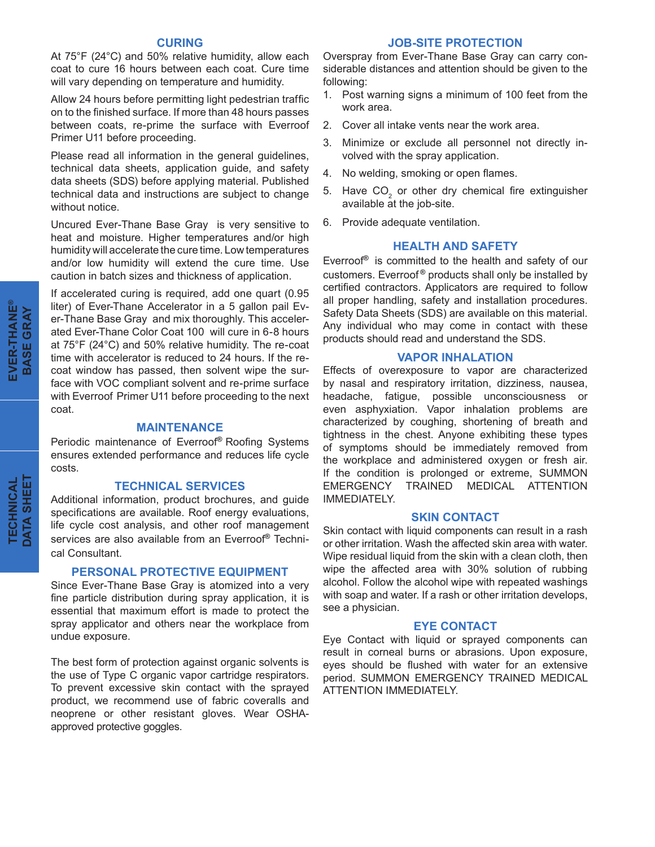#### **CURING**

At 75°F (24°C) and 50% relative humidity, allow each coat to cure 16 hours between each coat. Cure time will vary depending on temperature and humidity.

Allow 24 hours before permitting light pedestrian traffic on to the finished surface. If more than 48 hours passes between coats, re-prime the surface with Everroof Primer U11 before proceeding.

Please read all information in the general guidelines, technical data sheets, application guide, and safety data sheets (SDS) before applying material. Published technical data and instructions are subject to change without notice.

Uncured Ever-Thane Base Gray is very sensitive to heat and moisture. Higher temperatures and/or high humidity will accelerate the cure time. Low temperatures and/or low humidity will extend the cure time. Use caution in batch sizes and thickness of application.

If accelerated curing is required, add one quart (0.95 liter) of Ever-Thane Accelerator in a 5 gallon pail Ever-Thane Base Gray and mix thoroughly. This accelerated Ever-Thane Color Coat 100 will cure in 6-8 hours at 75°F (24°C) and 50% relative humidity. The re-coat time with accelerator is reduced to 24 hours. If the recoat window has passed, then solvent wipe the surface with VOC compliant solvent and re-prime surface with Everroof Primer U11 before proceeding to the next coat.

#### **MAINTENANCE**

Periodic maintenance of Everroof**®** Roofing Systems ensures extended performance and reduces life cycle costs.

#### **TECHNICAL SERVICES**

Additional information, product brochures, and guide specifications are available. Roof energy evaluations, life cycle cost analysis, and other roof management services are also available from an Everroof**®** Technical Consultant.

#### **PERSONAL PROTECTIVE EQUIPMENT**

Since Ever-Thane Base Gray is atomized into a very fine particle distribution during spray application, it is essential that maximum effort is made to protect the spray applicator and others near the workplace from undue exposure.

The best form of protection against organic solvents is the use of Type C organic vapor cartridge respirators. To prevent excessive skin contact with the sprayed product, we recommend use of fabric coveralls and neoprene or other resistant gloves. Wear OSHAapproved protective goggles.

#### **JOB-SITE PROTECTION**

Overspray from Ever-Thane Base Gray can carry considerable distances and attention should be given to the following:

- 1. Post warning signs a minimum of 100 feet from the work area.
- 2. Cover all intake vents near the work area.
- 3. Minimize or exclude all personnel not directly involved with the spray application.
- 4. No welding, smoking or open flames.
- 5. Have  $CO<sub>2</sub>$  or other dry chemical fire extinguisher available at the job-site.
- 6. Provide adequate ventilation.

# **HEALTH AND SAFETY**

Everroof**®** is committed to the health and safety of our customers. Everroof **®** products shall only be installed by certified contractors. Applicators are required to follow all proper handling, safety and installation procedures. Safety Data Sheets (SDS) are available on this material. Any individual who may come in contact with these products should read and understand the SDS.

#### **VAPOR INHALATION**

Effects of overexposure to vapor are characterized by nasal and respiratory irritation, dizziness, nausea, headache, fatigue, possible unconsciousness or even asphyxiation. Vapor inhalation problems are characterized by coughing, shortening of breath and tightness in the chest. Anyone exhibiting these types of symptoms should be immediately removed from the workplace and administered oxygen or fresh air. If the condition is prolonged or extreme, SUMMON EMERGENCY TRAINED MEDICAL ATTENTION IMMEDIATELY.

#### **SKIN CONTACT**

Skin contact with liquid components can result in a rash or other irritation. Wash the affected skin area with water. Wipe residual liquid from the skin with a clean cloth, then wipe the affected area with 30% solution of rubbing alcohol. Follow the alcohol wipe with repeated washings with soap and water. If a rash or other irritation develops, see a physician.

#### **EYE CONTACT**

Eye Contact with liquid or sprayed components can result in corneal burns or abrasions. Upon exposure, eyes should be flushed with water for an extensive period. SUMMON EMERGENCY TRAINED MEDICAL ATTENTION IMMEDIATELY.